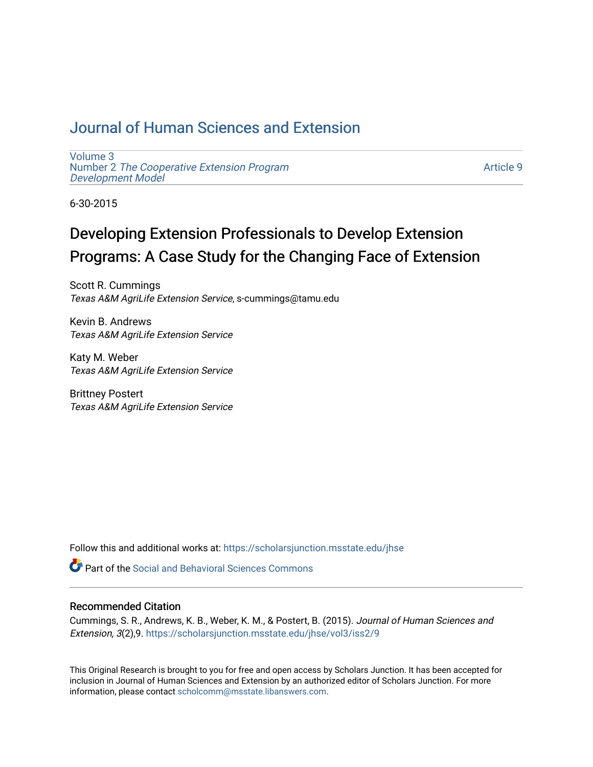## [Journal of Human Sciences and Extension](https://scholarsjunction.msstate.edu/jhse)

[Volume 3](https://scholarsjunction.msstate.edu/jhse/vol3) Number 2 [The Cooperative Extension Program](https://scholarsjunction.msstate.edu/jhse/vol3/iss2) [Development Model](https://scholarsjunction.msstate.edu/jhse/vol3/iss2) 

[Article 9](https://scholarsjunction.msstate.edu/jhse/vol3/iss2/9) 

6-30-2015

# Developing Extension Professionals to Develop Extension Programs: A Case Study for the Changing Face of Extension

Scott R. Cummings Texas A&M AgriLife Extension Service, s-cummings@tamu.edu

Kevin B. Andrews Texas A&M AgriLife Extension Service

Katy M. Weber Texas A&M AgriLife Extension Service

Brittney Postert Texas A&M AgriLife Extension Service

Follow this and additional works at: [https://scholarsjunction.msstate.edu/jhse](https://scholarsjunction.msstate.edu/jhse?utm_source=scholarsjunction.msstate.edu%2Fjhse%2Fvol3%2Fiss2%2F9&utm_medium=PDF&utm_campaign=PDFCoverPages)

**C** Part of the Social and Behavioral Sciences Commons

#### Recommended Citation

Cummings, S. R., Andrews, K. B., Weber, K. M., & Postert, B. (2015). Journal of Human Sciences and Extension, 3(2),9. [https://scholarsjunction.msstate.edu/jhse/vol3/iss2/9](https://scholarsjunction.msstate.edu/jhse/vol3/iss2/9?utm_source=scholarsjunction.msstate.edu%2Fjhse%2Fvol3%2Fiss2%2F9&utm_medium=PDF&utm_campaign=PDFCoverPages)

This Original Research is brought to you for free and open access by Scholars Junction. It has been accepted for inclusion in Journal of Human Sciences and Extension by an authorized editor of Scholars Junction. For more information, please contact [scholcomm@msstate.libanswers.com](mailto:scholcomm@msstate.libanswers.com).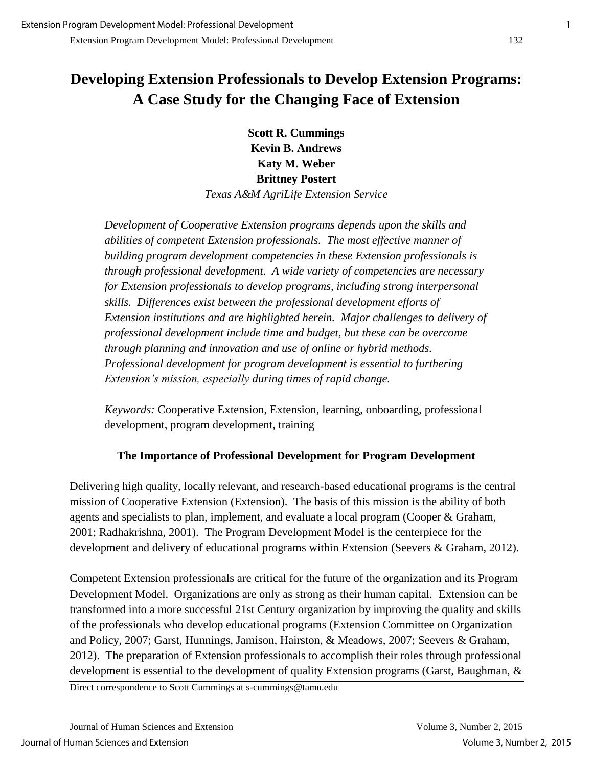## **Developing Extension Professionals to Develop Extension Programs: A Case Study for the Changing Face of Extension**

**Scott R. Cummings Kevin B. Andrews Katy M. Weber Brittney Postert**  *Texas A&M AgriLife Extension Service* 

*Development of Cooperative Extension programs depends upon the skills and abilities of competent Extension professionals. The most effective manner of building program development competencies in these Extension professionals is through professional development. A wide variety of competencies are necessary for Extension professionals to develop programs, including strong interpersonal skills. Differences exist between the professional development efforts of Extension institutions and are highlighted herein. Major challenges to delivery of professional development include time and budget, but these can be overcome through planning and innovation and use of online or hybrid methods. Professional development for program development is essential to furthering Extension's mission, especially during times of rapid change.* 

*Keywords:* Cooperative Extension, Extension, learning, onboarding, professional development, program development, training

## **The Importance of Professional Development for Program Development**

Delivering high quality, locally relevant, and research-based educational programs is the central mission of Cooperative Extension (Extension). The basis of this mission is the ability of both agents and specialists to plan, implement, and evaluate a local program (Cooper & Graham, 2001; Radhakrishna, 2001). The Program Development Model is the centerpiece for the development and delivery of educational programs within Extension (Seevers & Graham, 2012).

Competent Extension professionals are critical for the future of the organization and its Program Development Model. Organizations are only as strong as their human capital. Extension can be transformed into a more successful 21st Century organization by improving the quality and skills of the professionals who develop educational programs (Extension Committee on Organization and Policy, 2007; Garst, Hunnings, Jamison, Hairston, & Meadows, 2007; Seevers & Graham, 2012). The preparation of Extension professionals to accomplish their roles through professional development is essential to the development of quality Extension programs (Garst, Baughman, &

Direct correspondence to Scott Cummings at s-cummings@tamu.edu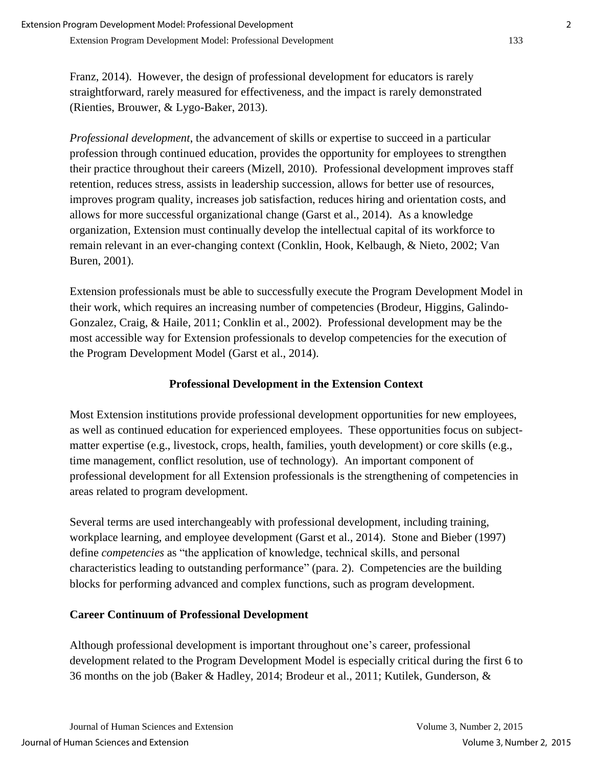Franz, 2014). However, the design of professional development for educators is rarely straightforward, rarely measured for effectiveness, and the impact is rarely demonstrated (Rienties, Brouwer, & Lygo-Baker, 2013).

*Professional development*, the advancement of skills or expertise to succeed in a particular profession through continued education, provides the opportunity for employees to strengthen their practice throughout their careers (Mizell, 2010). Professional development improves staff retention, reduces stress, assists in leadership succession, allows for better use of resources, improves program quality, increases job satisfaction, reduces hiring and orientation costs, and allows for more successful organizational change (Garst et al., 2014). As a knowledge organization, Extension must continually develop the intellectual capital of its workforce to remain relevant in an ever-changing context (Conklin, Hook, Kelbaugh, & Nieto, 2002; Van Buren, 2001).

Extension professionals must be able to successfully execute the Program Development Model in their work, which requires an increasing number of competencies (Brodeur, Higgins, Galindo-Gonzalez, Craig, & Haile, 2011; Conklin et al., 2002). Professional development may be the most accessible way for Extension professionals to develop competencies for the execution of the Program Development Model (Garst et al., 2014).

## **Professional Development in the Extension Context**

Most Extension institutions provide professional development opportunities for new employees, as well as continued education for experienced employees. These opportunities focus on subjectmatter expertise (e.g., livestock, crops, health, families, youth development) or core skills (e.g., time management, conflict resolution, use of technology). An important component of professional development for all Extension professionals is the strengthening of competencies in areas related to program development.

Several terms are used interchangeably with professional development, including training, workplace learning, and employee development (Garst et al., 2014). Stone and Bieber (1997) define *competencies* as "the application of knowledge, technical skills, and personal characteristics leading to outstanding performance" (para. 2). Competencies are the building blocks for performing advanced and complex functions, such as program development.

## **Career Continuum of Professional Development**

Although professional development is important throughout one's career, professional development related to the Program Development Model is especially critical during the first 6 to 36 months on the job (Baker & Hadley, 2014; Brodeur et al., 2011; Kutilek, Gunderson, &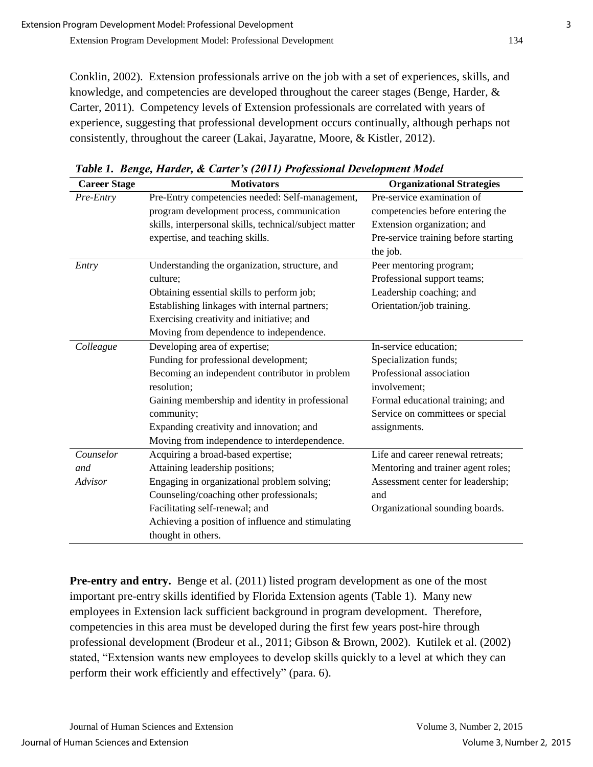Conklin, 2002). Extension professionals arrive on the job with a set of experiences, skills, and knowledge, and competencies are developed throughout the career stages (Benge, Harder, & Carter, 2011). Competency levels of Extension professionals are correlated with years of experience, suggesting that professional development occurs continually, although perhaps not consistently, throughout the career (Lakai, Jayaratne, Moore, & Kistler, 2012).

| <b>Career Stage</b> | <b>Motivators</b>                                      | <b>Organizational Strategies</b>     |
|---------------------|--------------------------------------------------------|--------------------------------------|
| Pre-Entry           | Pre-Entry competencies needed: Self-management,        | Pre-service examination of           |
|                     | program development process, communication             | competencies before entering the     |
|                     | skills, interpersonal skills, technical/subject matter | Extension organization; and          |
|                     | expertise, and teaching skills.                        | Pre-service training before starting |
|                     |                                                        | the job.                             |
| Entry               | Understanding the organization, structure, and         | Peer mentoring program;              |
|                     | culture:                                               | Professional support teams;          |
|                     | Obtaining essential skills to perform job;             | Leadership coaching; and             |
|                     | Establishing linkages with internal partners;          | Orientation/job training.            |
|                     | Exercising creativity and initiative; and              |                                      |
|                     | Moving from dependence to independence.                |                                      |
| Colleague           | Developing area of expertise;                          | In-service education;                |
|                     | Funding for professional development;                  | Specialization funds;                |
|                     | Becoming an independent contributor in problem         | Professional association             |
|                     | resolution;                                            | involvement;                         |
|                     | Gaining membership and identity in professional        | Formal educational training; and     |
|                     | community;                                             | Service on committees or special     |
|                     | Expanding creativity and innovation; and               | assignments.                         |
|                     | Moving from independence to interdependence.           |                                      |
| Counselor           | Acquiring a broad-based expertise;                     | Life and career renewal retreats;    |
| and                 | Attaining leadership positions;                        | Mentoring and trainer agent roles;   |
| Advisor             | Engaging in organizational problem solving;            | Assessment center for leadership;    |
|                     | Counseling/coaching other professionals;               | and                                  |
|                     | Facilitating self-renewal; and                         | Organizational sounding boards.      |
|                     | Achieving a position of influence and stimulating      |                                      |
|                     | thought in others.                                     |                                      |

*Table 1. Benge, Harder, & Carter's (2011) Professional Development Model*

**Pre-entry and entry.** Benge et al. (2011) listed program development as one of the most important pre-entry skills identified by Florida Extension agents (Table 1). Many new employees in Extension lack sufficient background in program development. Therefore, competencies in this area must be developed during the first few years post-hire through professional development (Brodeur et al., 2011; Gibson & Brown, 2002). Kutilek et al. (2002) stated, "Extension wants new employees to develop skills quickly to a level at which they can perform their work efficiently and effectively" (para. 6).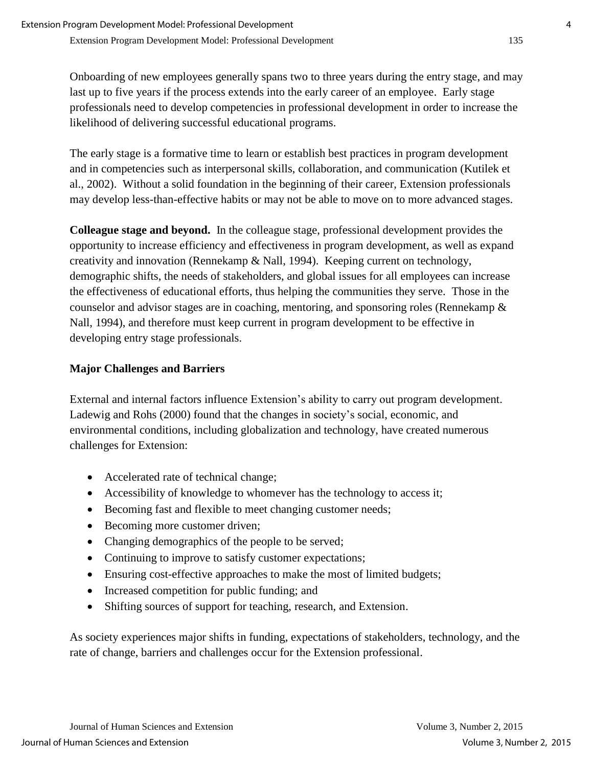Onboarding of new employees generally spans two to three years during the entry stage, and may last up to five years if the process extends into the early career of an employee. Early stage professionals need to develop competencies in professional development in order to increase the likelihood of delivering successful educational programs.

The early stage is a formative time to learn or establish best practices in program development and in competencies such as interpersonal skills, collaboration, and communication (Kutilek et al., 2002). Without a solid foundation in the beginning of their career, Extension professionals may develop less-than-effective habits or may not be able to move on to more advanced stages.

**Colleague stage and beyond.** In the colleague stage, professional development provides the opportunity to increase efficiency and effectiveness in program development, as well as expand creativity and innovation (Rennekamp & Nall, 1994). Keeping current on technology, demographic shifts, the needs of stakeholders, and global issues for all employees can increase the effectiveness of educational efforts, thus helping the communities they serve. Those in the counselor and advisor stages are in coaching, mentoring, and sponsoring roles (Rennekamp & Nall, 1994), and therefore must keep current in program development to be effective in developing entry stage professionals.

## **Major Challenges and Barriers**

External and internal factors influence Extension's ability to carry out program development. Ladewig and Rohs (2000) found that the changes in society's social, economic, and environmental conditions, including globalization and technology, have created numerous challenges for Extension:

- Accelerated rate of technical change;
- Accessibility of knowledge to whomever has the technology to access it;
- Becoming fast and flexible to meet changing customer needs;
- Becoming more customer driven;
- Changing demographics of the people to be served;
- Continuing to improve to satisfy customer expectations;
- Ensuring cost-effective approaches to make the most of limited budgets;
- Increased competition for public funding; and
- Shifting sources of support for teaching, research, and Extension.

As society experiences major shifts in funding, expectations of stakeholders, technology, and the rate of change, barriers and challenges occur for the Extension professional.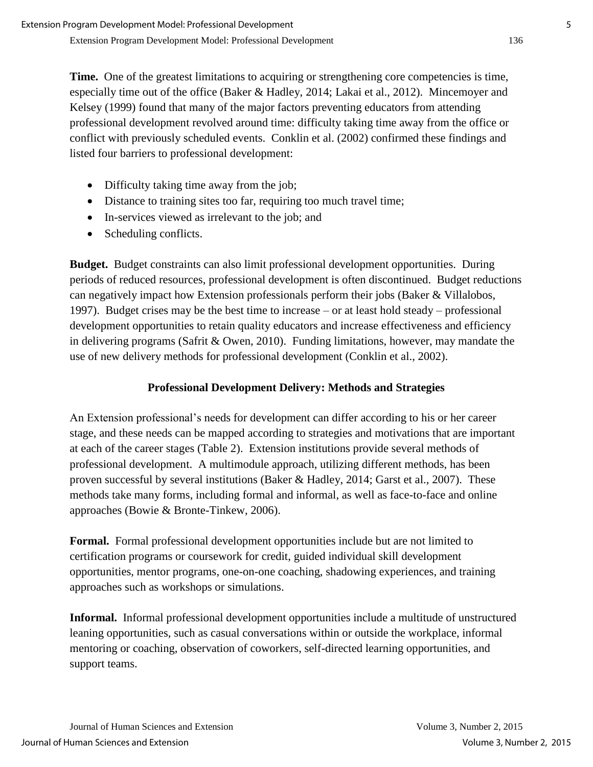**Time.** One of the greatest limitations to acquiring or strengthening core competencies is time, especially time out of the office (Baker & Hadley, 2014; Lakai et al., 2012). Mincemoyer and Kelsey (1999) found that many of the major factors preventing educators from attending professional development revolved around time: difficulty taking time away from the office or conflict with previously scheduled events. Conklin et al. (2002) confirmed these findings and listed four barriers to professional development:

- Difficulty taking time away from the job;
- Distance to training sites too far, requiring too much travel time;
- In-services viewed as irrelevant to the job; and
- Scheduling conflicts.

**Budget.** Budget constraints can also limit professional development opportunities. During periods of reduced resources, professional development is often discontinued. Budget reductions can negatively impact how Extension professionals perform their jobs (Baker & Villalobos, 1997). Budget crises may be the best time to increase – or at least hold steady – professional development opportunities to retain quality educators and increase effectiveness and efficiency in delivering programs (Safrit  $&$  Owen, 2010). Funding limitations, however, may mandate the use of new delivery methods for professional development (Conklin et al., 2002).

## **Professional Development Delivery: Methods and Strategies**

An Extension professional's needs for development can differ according to his or her career stage, and these needs can be mapped according to strategies and motivations that are important at each of the career stages (Table 2). Extension institutions provide several methods of professional development. A multimodule approach, utilizing different methods, has been proven successful by several institutions (Baker & Hadley, 2014; Garst et al., 2007). These methods take many forms, including formal and informal, as well as face-to-face and online approaches (Bowie & Bronte-Tinkew, 2006).

**Formal.** Formal professional development opportunities include but are not limited to certification programs or coursework for credit, guided individual skill development opportunities, mentor programs, one-on-one coaching, shadowing experiences, and training approaches such as workshops or simulations.

**Informal.** Informal professional development opportunities include a multitude of unstructured leaning opportunities, such as casual conversations within or outside the workplace, informal mentoring or coaching, observation of coworkers, self-directed learning opportunities, and support teams.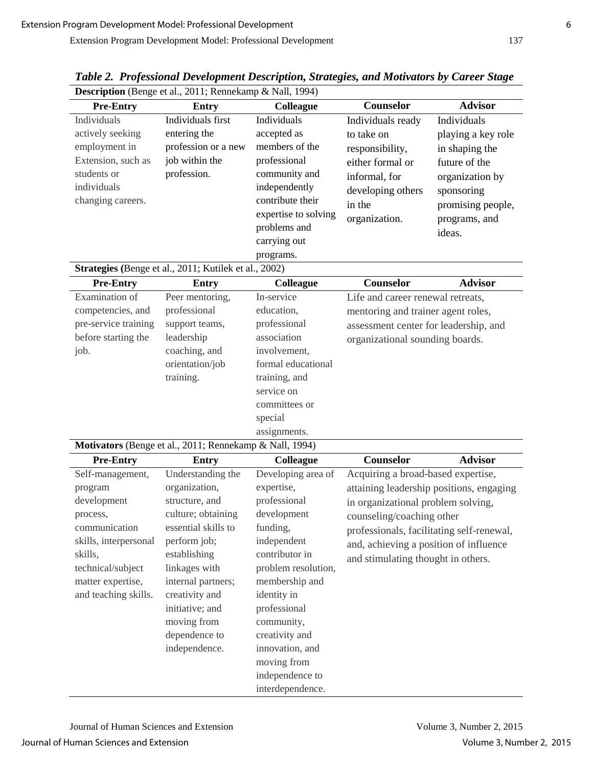| Description (Benge et al., 2011; Rennekamp & Nall, 1994) |                                                         |                      |                                           |                    |  |  |  |  |  |
|----------------------------------------------------------|---------------------------------------------------------|----------------------|-------------------------------------------|--------------------|--|--|--|--|--|
| <b>Pre-Entry</b>                                         | Entry                                                   | Colleague            | Counselor                                 | <b>Advisor</b>     |  |  |  |  |  |
| Individuals                                              | Individuals first                                       | Individuals          | Individuals ready                         | Individuals        |  |  |  |  |  |
| actively seeking                                         | entering the                                            | accepted as          | to take on                                | playing a key role |  |  |  |  |  |
| employment in                                            | profession or a new                                     | members of the       | responsibility,                           | in shaping the     |  |  |  |  |  |
| Extension, such as                                       | job within the                                          | professional         | either formal or                          | future of the      |  |  |  |  |  |
| students or                                              | profession.                                             | community and        | informal, for                             | organization by    |  |  |  |  |  |
| individuals                                              |                                                         | independently        | developing others                         | sponsoring         |  |  |  |  |  |
| changing careers.                                        |                                                         | contribute their     | in the                                    | promising people,  |  |  |  |  |  |
|                                                          |                                                         | expertise to solving | organization.                             | programs, and      |  |  |  |  |  |
|                                                          |                                                         | problems and         |                                           | ideas.             |  |  |  |  |  |
|                                                          |                                                         | carrying out         |                                           |                    |  |  |  |  |  |
|                                                          |                                                         | programs.            |                                           |                    |  |  |  |  |  |
|                                                          | Strategies (Benge et al., 2011; Kutilek et al., 2002)   |                      |                                           |                    |  |  |  |  |  |
| <b>Pre-Entry</b>                                         | <b>Entry</b>                                            | Colleague            | Counselor                                 | <b>Advisor</b>     |  |  |  |  |  |
| Examination of                                           | Peer mentoring,                                         | In-service           | Life and career renewal retreats,         |                    |  |  |  |  |  |
| competencies, and                                        | professional                                            | education,           | mentoring and trainer agent roles,        |                    |  |  |  |  |  |
| pre-service training                                     | support teams,                                          | professional         | assessment center for leadership, and     |                    |  |  |  |  |  |
| before starting the                                      | leadership                                              | association          | organizational sounding boards.           |                    |  |  |  |  |  |
| job.                                                     | coaching, and                                           | involvement,         |                                           |                    |  |  |  |  |  |
|                                                          | orientation/job                                         | formal educational   |                                           |                    |  |  |  |  |  |
|                                                          | training.                                               | training, and        |                                           |                    |  |  |  |  |  |
|                                                          |                                                         | service on           |                                           |                    |  |  |  |  |  |
|                                                          |                                                         | committees or        |                                           |                    |  |  |  |  |  |
|                                                          |                                                         | special              |                                           |                    |  |  |  |  |  |
|                                                          |                                                         | assignments.         |                                           |                    |  |  |  |  |  |
|                                                          | Motivators (Benge et al., 2011; Rennekamp & Nall, 1994) |                      |                                           |                    |  |  |  |  |  |
| <b>Pre-Entry</b>                                         | <b>Entry</b>                                            | Colleague            | <b>Counselor</b>                          | <b>Advisor</b>     |  |  |  |  |  |
| Self-management,                                         | Understanding the                                       | Developing area of   | Acquiring a broad-based expertise,        |                    |  |  |  |  |  |
| program                                                  | organization,                                           | expertise,           | attaining leadership positions, engaging  |                    |  |  |  |  |  |
| development                                              | structure, and                                          | professional         | in organizational problem solving,        |                    |  |  |  |  |  |
| process,                                                 | culture; obtaining                                      | development          | counseling/coaching other                 |                    |  |  |  |  |  |
| communication                                            | essential skills to                                     | funding,             | professionals, facilitating self-renewal, |                    |  |  |  |  |  |
| skills, interpersonal                                    | perform job;                                            | independent          | and, achieving a position of influence    |                    |  |  |  |  |  |
| skills,                                                  | establishing                                            | contributor in       | and stimulating thought in others.        |                    |  |  |  |  |  |
| technical/subject                                        | linkages with                                           | problem resolution,  |                                           |                    |  |  |  |  |  |
| matter expertise,                                        | internal partners;                                      | membership and       |                                           |                    |  |  |  |  |  |
| and teaching skills.                                     | creativity and                                          | identity in          |                                           |                    |  |  |  |  |  |
|                                                          | initiative; and                                         | professional         |                                           |                    |  |  |  |  |  |
|                                                          | moving from                                             | community,           |                                           |                    |  |  |  |  |  |
|                                                          | dependence to                                           | creativity and       |                                           |                    |  |  |  |  |  |
|                                                          | independence.                                           | innovation, and      |                                           |                    |  |  |  |  |  |
|                                                          |                                                         | moving from          |                                           |                    |  |  |  |  |  |
|                                                          |                                                         | independence to      |                                           |                    |  |  |  |  |  |
|                                                          |                                                         | interdependence.     |                                           |                    |  |  |  |  |  |

*Table 2. Professional Development Description, Strategies, and Motivators by Career Stage*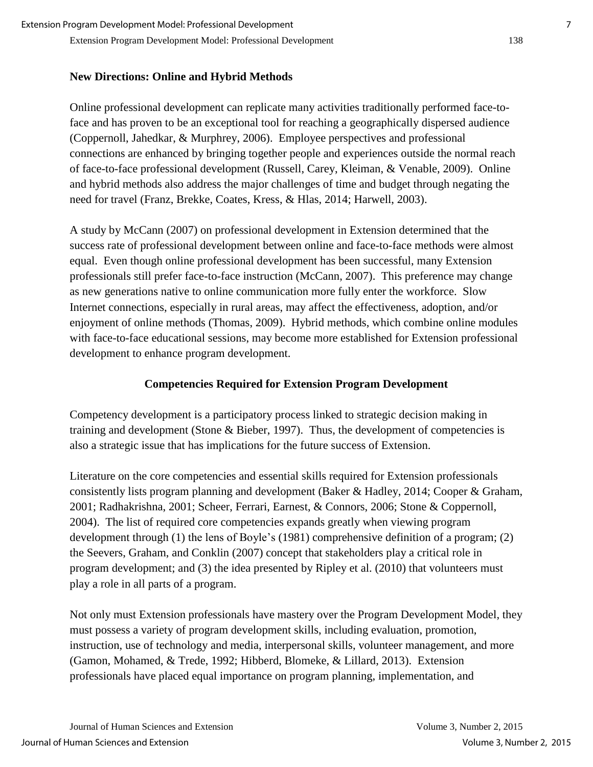#### **New Directions: Online and Hybrid Methods**

Online professional development can replicate many activities traditionally performed face-toface and has proven to be an exceptional tool for reaching a geographically dispersed audience (Coppernoll, Jahedkar, & Murphrey, 2006). Employee perspectives and professional connections are enhanced by bringing together people and experiences outside the normal reach of face-to-face professional development (Russell, Carey, Kleiman, & Venable, 2009). Online and hybrid methods also address the major challenges of time and budget through negating the need for travel (Franz, Brekke, Coates, Kress, & Hlas, 2014; Harwell, 2003).

A study by McCann (2007) on professional development in Extension determined that the success rate of professional development between online and face-to-face methods were almost equal. Even though online professional development has been successful, many Extension professionals still prefer face-to-face instruction (McCann, 2007). This preference may change as new generations native to online communication more fully enter the workforce. Slow Internet connections, especially in rural areas, may affect the effectiveness, adoption, and/or enjoyment of online methods (Thomas, 2009). Hybrid methods, which combine online modules with face-to-face educational sessions, may become more established for Extension professional development to enhance program development.

## **Competencies Required for Extension Program Development**

Competency development is a participatory process linked to strategic decision making in training and development (Stone & Bieber, 1997). Thus, the development of competencies is also a strategic issue that has implications for the future success of Extension.

Literature on the core competencies and essential skills required for Extension professionals consistently lists program planning and development (Baker & Hadley, 2014; Cooper & Graham, 2001; Radhakrishna, 2001; Scheer, Ferrari, Earnest, & Connors, 2006; Stone & Coppernoll, 2004). The list of required core competencies expands greatly when viewing program development through (1) the lens of Boyle's (1981) comprehensive definition of a program; (2) the Seevers, Graham, and Conklin (2007) concept that stakeholders play a critical role in program development; and (3) the idea presented by Ripley et al. (2010) that volunteers must play a role in all parts of a program.

Not only must Extension professionals have mastery over the Program Development Model, they must possess a variety of program development skills, including evaluation, promotion, instruction, use of technology and media, interpersonal skills, volunteer management, and more (Gamon, Mohamed, & Trede, 1992; Hibberd, Blomeke, & Lillard, 2013). Extension professionals have placed equal importance on program planning, implementation, and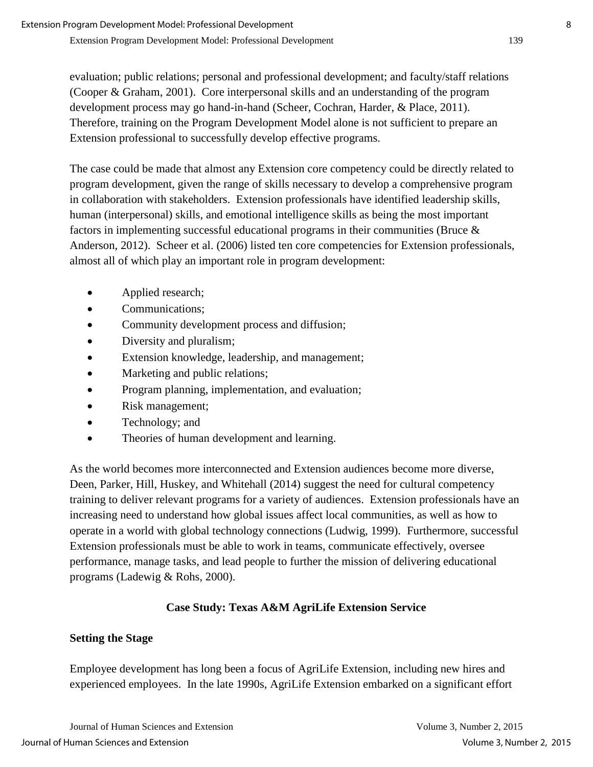evaluation; public relations; personal and professional development; and faculty/staff relations (Cooper & Graham, 2001). Core interpersonal skills and an understanding of the program development process may go hand-in-hand (Scheer, Cochran, Harder, & Place, 2011). Therefore, training on the Program Development Model alone is not sufficient to prepare an Extension professional to successfully develop effective programs.

The case could be made that almost any Extension core competency could be directly related to program development, given the range of skills necessary to develop a comprehensive program in collaboration with stakeholders. Extension professionals have identified leadership skills, human (interpersonal) skills, and emotional intelligence skills as being the most important factors in implementing successful educational programs in their communities (Bruce & Anderson, 2012). Scheer et al. (2006) listed ten core competencies for Extension professionals, almost all of which play an important role in program development:

- Applied research;
- Communications:
- Community development process and diffusion;
- Diversity and pluralism;
- Extension knowledge, leadership, and management;
- Marketing and public relations;
- Program planning, implementation, and evaluation;
- Risk management;
- Technology; and
- Theories of human development and learning.

As the world becomes more interconnected and Extension audiences become more diverse, Deen, Parker, Hill, Huskey, and Whitehall (2014) suggest the need for cultural competency training to deliver relevant programs for a variety of audiences. Extension professionals have an increasing need to understand how global issues affect local communities, as well as how to operate in a world with global technology connections (Ludwig, 1999). Furthermore, successful Extension professionals must be able to work in teams, communicate effectively, oversee performance, manage tasks, and lead people to further the mission of delivering educational programs (Ladewig & Rohs, 2000).

## **Case Study: Texas A&M AgriLife Extension Service**

## **Setting the Stage**

Employee development has long been a focus of AgriLife Extension, including new hires and experienced employees. In the late 1990s, AgriLife Extension embarked on a significant effort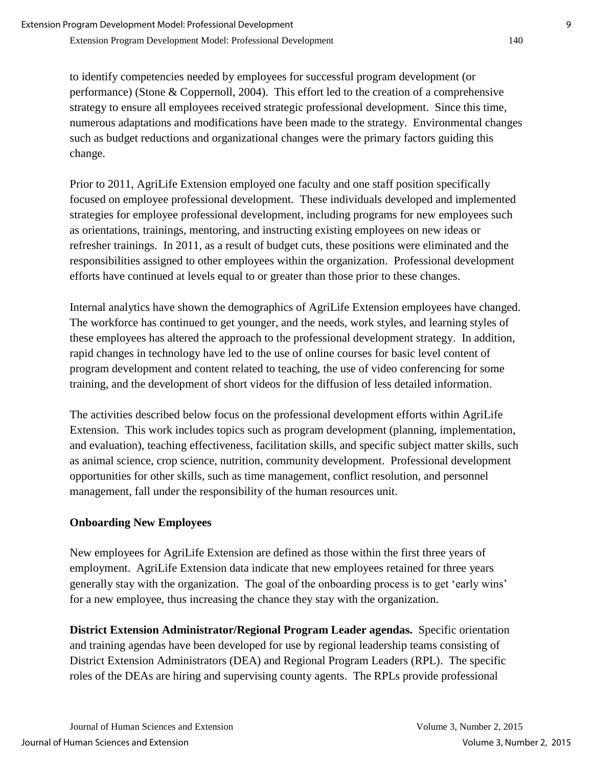to identify competencies needed by employees for successful program development (or performance) (Stone & Coppernoll, 2004). This effort led to the creation of a comprehensive strategy to ensure all employees received strategic professional development. Since this time, numerous adaptations and modifications have been made to the strategy. Environmental changes such as budget reductions and organizational changes were the primary factors guiding this change.

Prior to 2011, AgriLife Extension employed one faculty and one staff position specifically focused on employee professional development. These individuals developed and implemented strategies for employee professional development, including programs for new employees such as orientations, trainings, mentoring, and instructing existing employees on new ideas or refresher trainings. In 2011, as a result of budget cuts, these positions were eliminated and the responsibilities assigned to other employees within the organization. Professional development efforts have continued at levels equal to or greater than those prior to these changes.

Internal analytics have shown the demographics of AgriLife Extension employees have changed. The workforce has continued to get younger, and the needs, work styles, and learning styles of these employees has altered the approach to the professional development strategy. In addition, rapid changes in technology have led to the use of online courses for basic level content of program development and content related to teaching, the use of video conferencing for some training, and the development of short videos for the diffusion of less detailed information.

The activities described below focus on the professional development efforts within AgriLife Extension. This work includes topics such as program development (planning, implementation, and evaluation), teaching effectiveness, facilitation skills, and specific subject matter skills, such as animal science, crop science, nutrition, community development. Professional development opportunities for other skills, such as time management, conflict resolution, and personnel management, fall under the responsibility of the human resources unit.

## **Onboarding New Employees**

New employees for AgriLife Extension are defined as those within the first three years of employment. AgriLife Extension data indicate that new employees retained for three years generally stay with the organization. The goal of the onboarding process is to get 'early wins' for a new employee, thus increasing the chance they stay with the organization.

**District Extension Administrator/Regional Program Leader agendas.** Specific orientation and training agendas have been developed for use by regional leadership teams consisting of District Extension Administrators (DEA) and Regional Program Leaders (RPL). The specific roles of the DEAs are hiring and supervising county agents. The RPLs provide professional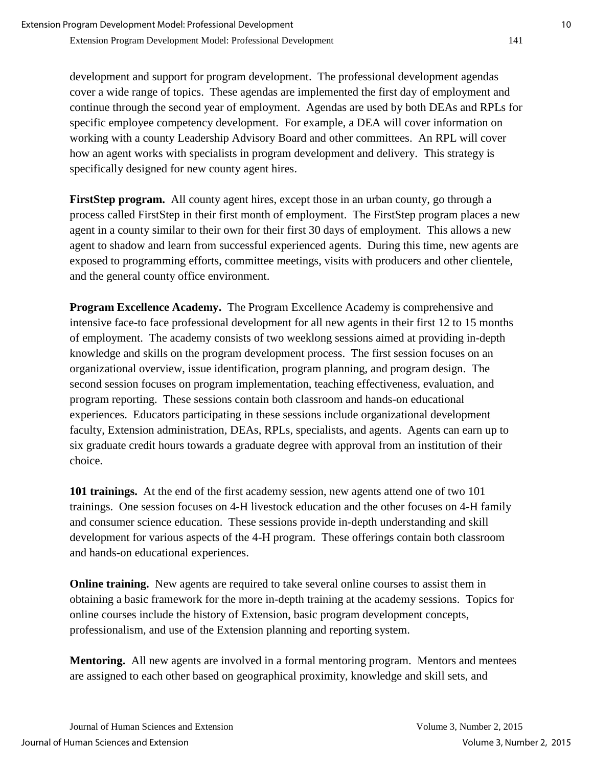development and support for program development. The professional development agendas cover a wide range of topics. These agendas are implemented the first day of employment and continue through the second year of employment. Agendas are used by both DEAs and RPLs for specific employee competency development. For example, a DEA will cover information on working with a county Leadership Advisory Board and other committees. An RPL will cover how an agent works with specialists in program development and delivery. This strategy is specifically designed for new county agent hires.

**FirstStep program.** All county agent hires, except those in an urban county, go through a process called FirstStep in their first month of employment. The FirstStep program places a new agent in a county similar to their own for their first 30 days of employment. This allows a new agent to shadow and learn from successful experienced agents. During this time, new agents are exposed to programming efforts, committee meetings, visits with producers and other clientele, and the general county office environment.

**Program Excellence Academy.** The Program Excellence Academy is comprehensive and intensive face-to face professional development for all new agents in their first 12 to 15 months of employment. The academy consists of two weeklong sessions aimed at providing in-depth knowledge and skills on the program development process. The first session focuses on an organizational overview, issue identification, program planning, and program design. The second session focuses on program implementation, teaching effectiveness, evaluation, and program reporting. These sessions contain both classroom and hands-on educational experiences. Educators participating in these sessions include organizational development faculty, Extension administration, DEAs, RPLs, specialists, and agents. Agents can earn up to six graduate credit hours towards a graduate degree with approval from an institution of their choice.

**101 trainings.** At the end of the first academy session, new agents attend one of two 101 trainings. One session focuses on 4-H livestock education and the other focuses on 4-H family and consumer science education. These sessions provide in-depth understanding and skill development for various aspects of the 4-H program. These offerings contain both classroom and hands-on educational experiences.

**Online training.** New agents are required to take several online courses to assist them in obtaining a basic framework for the more in-depth training at the academy sessions. Topics for online courses include the history of Extension, basic program development concepts, professionalism, and use of the Extension planning and reporting system.

**Mentoring.** All new agents are involved in a formal mentoring program. Mentors and mentees are assigned to each other based on geographical proximity, knowledge and skill sets, and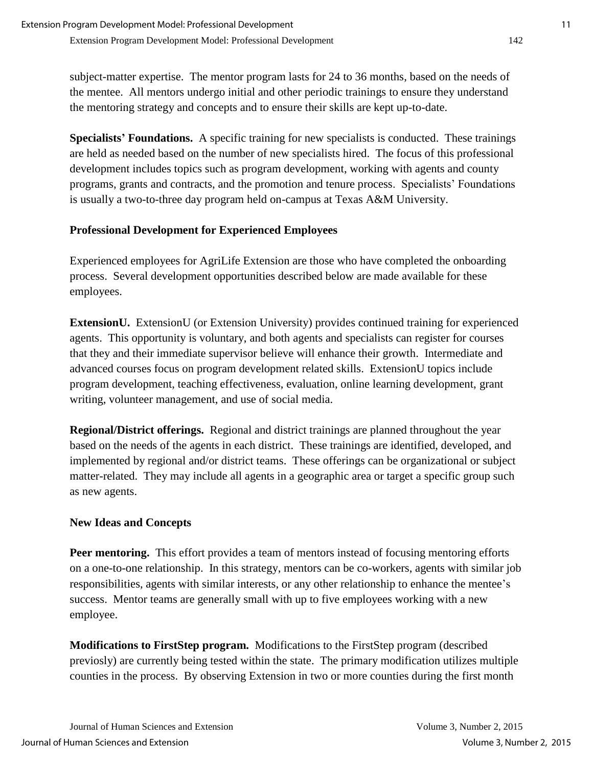subject-matter expertise. The mentor program lasts for 24 to 36 months, based on the needs of the mentee. All mentors undergo initial and other periodic trainings to ensure they understand the mentoring strategy and concepts and to ensure their skills are kept up-to-date.

**Specialists' Foundations.** A specific training for new specialists is conducted. These trainings are held as needed based on the number of new specialists hired. The focus of this professional development includes topics such as program development, working with agents and county programs, grants and contracts, and the promotion and tenure process. Specialists' Foundations is usually a two-to-three day program held on-campus at Texas A&M University.

#### **Professional Development for Experienced Employees**

Experienced employees for AgriLife Extension are those who have completed the onboarding process. Several development opportunities described below are made available for these employees.

**ExtensionU.** ExtensionU (or Extension University) provides continued training for experienced agents. This opportunity is voluntary, and both agents and specialists can register for courses that they and their immediate supervisor believe will enhance their growth. Intermediate and advanced courses focus on program development related skills. ExtensionU topics include program development, teaching effectiveness, evaluation, online learning development, grant writing, volunteer management, and use of social media.

**Regional/District offerings.** Regional and district trainings are planned throughout the year based on the needs of the agents in each district. These trainings are identified, developed, and implemented by regional and/or district teams. These offerings can be organizational or subject matter-related. They may include all agents in a geographic area or target a specific group such as new agents.

## **New Ideas and Concepts**

**Peer mentoring.** This effort provides a team of mentors instead of focusing mentoring efforts on a one-to-one relationship. In this strategy, mentors can be co-workers, agents with similar job responsibilities, agents with similar interests, or any other relationship to enhance the mentee's success. Mentor teams are generally small with up to five employees working with a new employee.

**Modifications to FirstStep program.** Modifications to the FirstStep program (described previosly) are currently being tested within the state. The primary modification utilizes multiple counties in the process. By observing Extension in two or more counties during the first month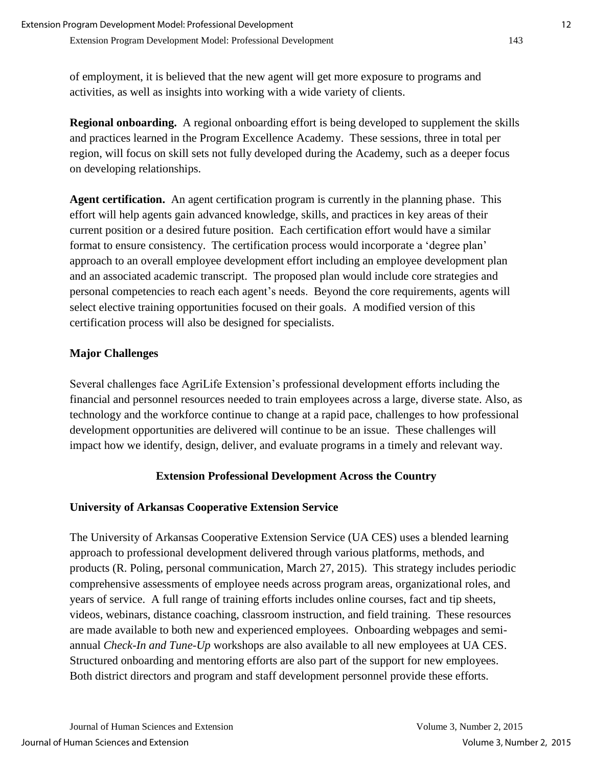of employment, it is believed that the new agent will get more exposure to programs and activities, as well as insights into working with a wide variety of clients.

**Regional onboarding.** A regional onboarding effort is being developed to supplement the skills and practices learned in the Program Excellence Academy. These sessions, three in total per region, will focus on skill sets not fully developed during the Academy, such as a deeper focus on developing relationships.

**Agent certification.** An agent certification program is currently in the planning phase. This effort will help agents gain advanced knowledge, skills, and practices in key areas of their current position or a desired future position. Each certification effort would have a similar format to ensure consistency. The certification process would incorporate a 'degree plan' approach to an overall employee development effort including an employee development plan and an associated academic transcript. The proposed plan would include core strategies and personal competencies to reach each agent's needs. Beyond the core requirements, agents will select elective training opportunities focused on their goals. A modified version of this certification process will also be designed for specialists.

## **Major Challenges**

Several challenges face AgriLife Extension's professional development efforts including the financial and personnel resources needed to train employees across a large, diverse state. Also, as technology and the workforce continue to change at a rapid pace, challenges to how professional development opportunities are delivered will continue to be an issue. These challenges will impact how we identify, design, deliver, and evaluate programs in a timely and relevant way.

## **Extension Professional Development Across the Country**

## **University of Arkansas Cooperative Extension Service**

The University of Arkansas Cooperative Extension Service (UA CES) uses a blended learning approach to professional development delivered through various platforms, methods, and products (R. Poling, personal communication, March 27, 2015). This strategy includes periodic comprehensive assessments of employee needs across program areas, organizational roles, and years of service. A full range of training efforts includes online courses, fact and tip sheets, videos, webinars, distance coaching, classroom instruction, and field training. These resources are made available to both new and experienced employees. Onboarding webpages and semiannual *Check-In and Tune-Up* workshops are also available to all new employees at UA CES. Structured onboarding and mentoring efforts are also part of the support for new employees. Both district directors and program and staff development personnel provide these efforts.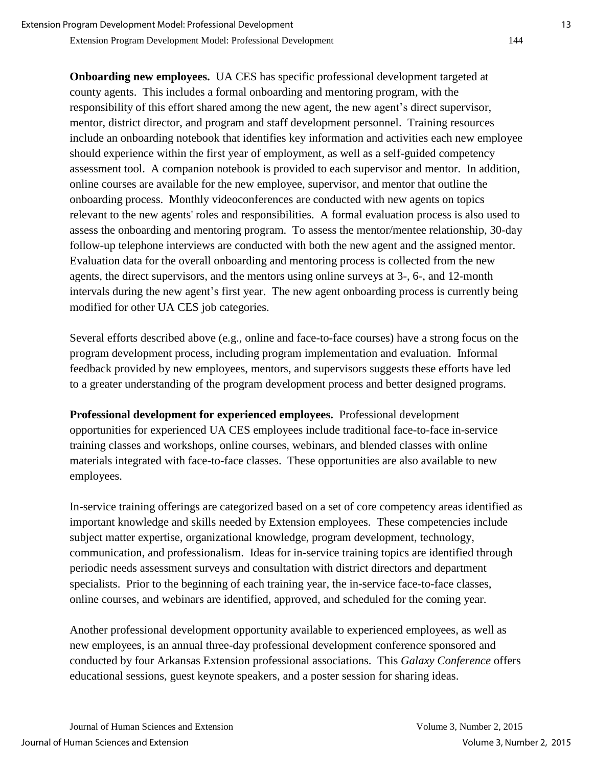Extension Program Development Model: Professional Development 144

**Onboarding new employees.** UA CES has specific professional development targeted at county agents. This includes a formal onboarding and mentoring program, with the responsibility of this effort shared among the new agent, the new agent's direct supervisor, mentor, district director, and program and staff development personnel. Training resources include an onboarding notebook that identifies key information and activities each new employee should experience within the first year of employment, as well as a self-guided competency assessment tool. A companion notebook is provided to each supervisor and mentor. In addition, online courses are available for the new employee, supervisor, and mentor that outline the onboarding process. Monthly videoconferences are conducted with new agents on topics relevant to the new agents' roles and responsibilities. A formal evaluation process is also used to assess the onboarding and mentoring program. To assess the mentor/mentee relationship, 30-day follow-up telephone interviews are conducted with both the new agent and the assigned mentor. Evaluation data for the overall onboarding and mentoring process is collected from the new agents, the direct supervisors, and the mentors using online surveys at 3-, 6-, and 12-month intervals during the new agent's first year. The new agent onboarding process is currently being modified for other UA CES job categories.

Several efforts described above (e.g., online and face-to-face courses) have a strong focus on the program development process, including program implementation and evaluation. Informal feedback provided by new employees, mentors, and supervisors suggests these efforts have led to a greater understanding of the program development process and better designed programs.

**Professional development for experienced employees.** Professional development opportunities for experienced UA CES employees include traditional face-to-face in-service training classes and workshops, online courses, webinars, and blended classes with online materials integrated with face-to-face classes. These opportunities are also available to new employees.

In-service training offerings are categorized based on a set of core competency areas identified as important knowledge and skills needed by Extension employees. These competencies include subject matter expertise, organizational knowledge, program development, technology, communication, and professionalism. Ideas for in-service training topics are identified through periodic needs assessment surveys and consultation with district directors and department specialists. Prior to the beginning of each training year, the in-service face-to-face classes, online courses, and webinars are identified, approved, and scheduled for the coming year.

Another professional development opportunity available to experienced employees, as well as new employees, is an annual three-day professional development conference sponsored and conducted by four Arkansas Extension professional associations. This *Galaxy Conference* offers educational sessions, guest keynote speakers, and a poster session for sharing ideas.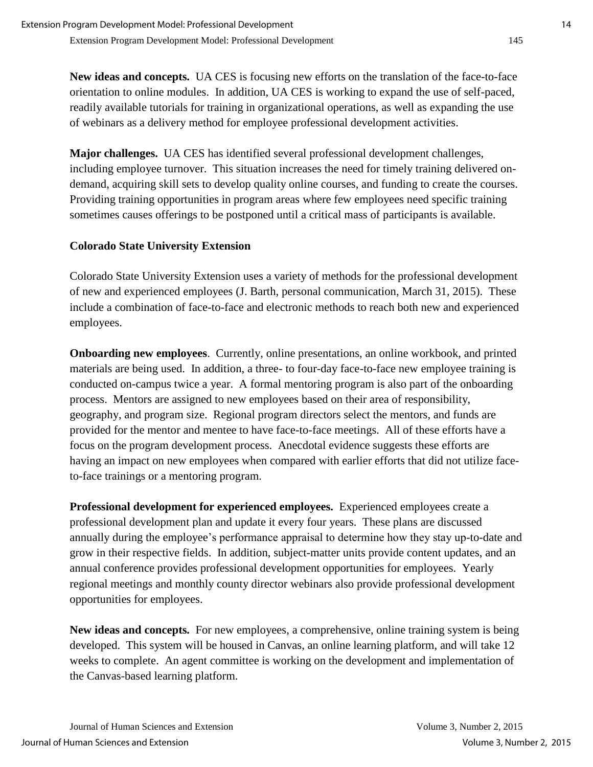**New ideas and concepts.** UA CES is focusing new efforts on the translation of the face-to-face orientation to online modules. In addition, UA CES is working to expand the use of self-paced, readily available tutorials for training in organizational operations, as well as expanding the use of webinars as a delivery method for employee professional development activities.

**Major challenges.** UA CES has identified several professional development challenges, including employee turnover. This situation increases the need for timely training delivered ondemand, acquiring skill sets to develop quality online courses, and funding to create the courses. Providing training opportunities in program areas where few employees need specific training sometimes causes offerings to be postponed until a critical mass of participants is available.

## **Colorado State University Extension**

Colorado State University Extension uses a variety of methods for the professional development of new and experienced employees (J. Barth, personal communication, March 31, 2015). These include a combination of face-to-face and electronic methods to reach both new and experienced employees.

**Onboarding new employees**. Currently, online presentations, an online workbook, and printed materials are being used. In addition, a three- to four-day face-to-face new employee training is conducted on-campus twice a year. A formal mentoring program is also part of the onboarding process. Mentors are assigned to new employees based on their area of responsibility, geography, and program size. Regional program directors select the mentors, and funds are provided for the mentor and mentee to have face-to-face meetings. All of these efforts have a focus on the program development process. Anecdotal evidence suggests these efforts are having an impact on new employees when compared with earlier efforts that did not utilize faceto-face trainings or a mentoring program.

**Professional development for experienced employees.** Experienced employees create a professional development plan and update it every four years. These plans are discussed annually during the employee's performance appraisal to determine how they stay up-to-date and grow in their respective fields. In addition, subject-matter units provide content updates, and an annual conference provides professional development opportunities for employees. Yearly regional meetings and monthly county director webinars also provide professional development opportunities for employees.

**New ideas and concepts.** For new employees, a comprehensive, online training system is being developed. This system will be housed in Canvas, an online learning platform, and will take 12 weeks to complete. An agent committee is working on the development and implementation of the Canvas-based learning platform.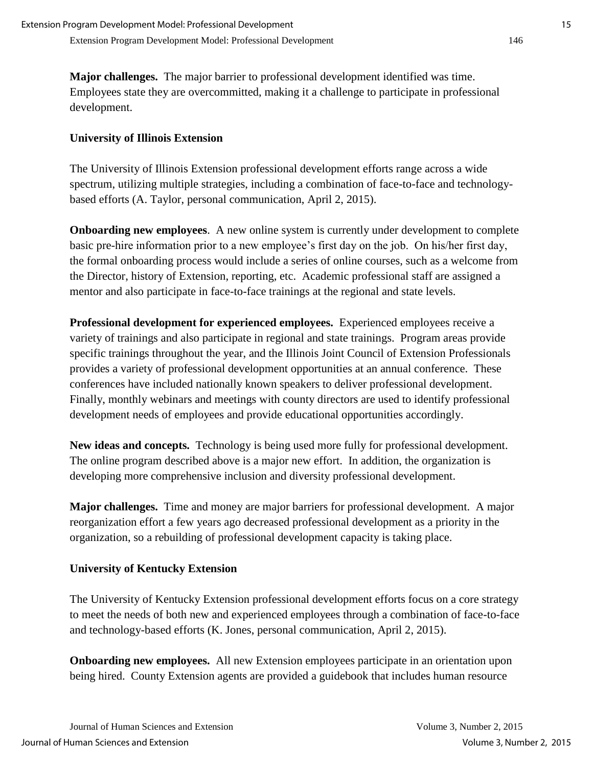**Major challenges.** The major barrier to professional development identified was time. Employees state they are overcommitted, making it a challenge to participate in professional development.

## **University of Illinois Extension**

The University of Illinois Extension professional development efforts range across a wide spectrum, utilizing multiple strategies, including a combination of face-to-face and technologybased efforts (A. Taylor, personal communication, April 2, 2015).

**Onboarding new employees.** A new online system is currently under development to complete basic pre-hire information prior to a new employee's first day on the job. On his/her first day, the formal onboarding process would include a series of online courses, such as a welcome from the Director, history of Extension, reporting, etc. Academic professional staff are assigned a mentor and also participate in face-to-face trainings at the regional and state levels.

**Professional development for experienced employees.** Experienced employees receive a variety of trainings and also participate in regional and state trainings. Program areas provide specific trainings throughout the year, and the Illinois Joint Council of Extension Professionals provides a variety of professional development opportunities at an annual conference. These conferences have included nationally known speakers to deliver professional development. Finally, monthly webinars and meetings with county directors are used to identify professional development needs of employees and provide educational opportunities accordingly.

**New ideas and concepts.** Technology is being used more fully for professional development. The online program described above is a major new effort. In addition, the organization is developing more comprehensive inclusion and diversity professional development.

**Major challenges.** Time and money are major barriers for professional development. A major reorganization effort a few years ago decreased professional development as a priority in the organization, so a rebuilding of professional development capacity is taking place.

## **University of Kentucky Extension**

The University of Kentucky Extension professional development efforts focus on a core strategy to meet the needs of both new and experienced employees through a combination of face-to-face and technology-based efforts (K. Jones, personal communication, April 2, 2015).

**Onboarding new employees.** All new Extension employees participate in an orientation upon being hired. County Extension agents are provided a guidebook that includes human resource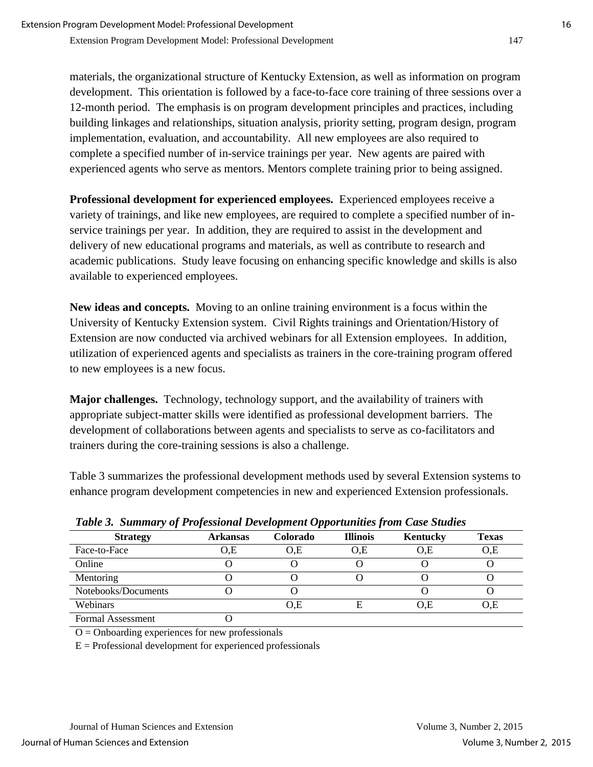materials, the organizational structure of Kentucky Extension, as well as information on program development. This orientation is followed by a face-to-face core training of three sessions over a 12-month period. The emphasis is on program development principles and practices, including building linkages and relationships, situation analysis, priority setting, program design, program implementation, evaluation, and accountability. All new employees are also required to complete a specified number of in-service trainings per year. New agents are paired with experienced agents who serve as mentors. Mentors complete training prior to being assigned.

**Professional development for experienced employees.** Experienced employees receive a variety of trainings, and like new employees, are required to complete a specified number of inservice trainings per year. In addition, they are required to assist in the development and delivery of new educational programs and materials, as well as contribute to research and academic publications. Study leave focusing on enhancing specific knowledge and skills is also available to experienced employees.

**New ideas and concepts.** Moving to an online training environment is a focus within the University of Kentucky Extension system. Civil Rights trainings and Orientation/History of Extension are now conducted via archived webinars for all Extension employees. In addition, utilization of experienced agents and specialists as trainers in the core-training program offered to new employees is a new focus.

**Major challenges.** Technology, technology support, and the availability of trainers with appropriate subject-matter skills were identified as professional development barriers. The development of collaborations between agents and specialists to serve as co-facilitators and trainers during the core-training sessions is also a challenge.

Table 3 summarizes the professional development methods used by several Extension systems to enhance program development competencies in new and experienced Extension professionals.

| Twele of Bunning you I referred has Development upper annually from Case Braanch |                 |                 |                 |          |              |  |  |  |
|----------------------------------------------------------------------------------|-----------------|-----------------|-----------------|----------|--------------|--|--|--|
| <b>Strategy</b>                                                                  | <b>Arkansas</b> | <b>Colorado</b> | <b>Illinois</b> | Kentucky | <b>Texas</b> |  |  |  |
| Face-to-Face                                                                     | O.E             | O.E             | O.E             | O.E      | 0,E          |  |  |  |
| Online                                                                           |                 |                 |                 |          |              |  |  |  |
| Mentoring                                                                        |                 |                 |                 |          |              |  |  |  |
| Notebooks/Documents                                                              |                 |                 |                 |          |              |  |  |  |
| Webinars                                                                         |                 | O.E             |                 | O.E      | 0,E          |  |  |  |
| <b>Formal Assessment</b>                                                         |                 |                 |                 |          |              |  |  |  |

*Table 3. Summary of Professional Development Opportunities from Case Studies*

 $O =$  Onboarding experiences for new professionals

 $E =$  Professional development for experienced professionals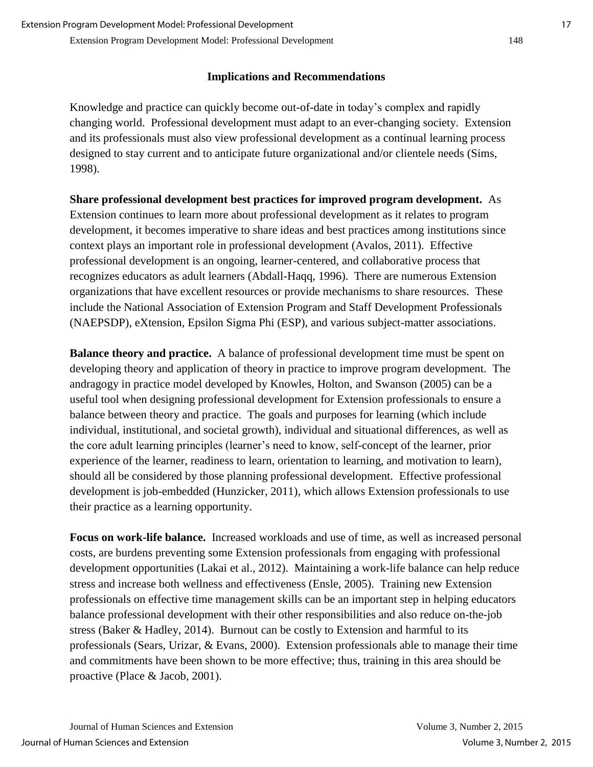#### **Implications and Recommendations**

Knowledge and practice can quickly become out-of-date in today's complex and rapidly changing world. Professional development must adapt to an ever-changing society. Extension and its professionals must also view professional development as a continual learning process designed to stay current and to anticipate future organizational and/or clientele needs (Sims, 1998).

**Share professional development best practices for improved program development.** As Extension continues to learn more about professional development as it relates to program development, it becomes imperative to share ideas and best practices among institutions since context plays an important role in professional development (Avalos, 2011). Effective professional development is an ongoing, learner-centered, and collaborative process that recognizes educators as adult learners (Abdall-Haqq, 1996). There are numerous Extension organizations that have excellent resources or provide mechanisms to share resources. These include the National Association of Extension Program and Staff Development Professionals (NAEPSDP), eXtension, Epsilon Sigma Phi (ESP), and various subject-matter associations.

**Balance theory and practice.** A balance of professional development time must be spent on developing theory and application of theory in practice to improve program development. The andragogy in practice model developed by Knowles, Holton, and Swanson (2005) can be a useful tool when designing professional development for Extension professionals to ensure a balance between theory and practice. The goals and purposes for learning (which include individual, institutional, and societal growth), individual and situational differences, as well as the core adult learning principles (learner's need to know, self-concept of the learner, prior experience of the learner, readiness to learn, orientation to learning, and motivation to learn), should all be considered by those planning professional development. Effective professional development is job-embedded (Hunzicker, 2011), which allows Extension professionals to use their practice as a learning opportunity.

**Focus on work-life balance.** Increased workloads and use of time, as well as increased personal costs, are burdens preventing some Extension professionals from engaging with professional development opportunities (Lakai et al., 2012). Maintaining a work-life balance can help reduce stress and increase both wellness and effectiveness (Ensle, 2005). Training new Extension professionals on effective time management skills can be an important step in helping educators balance professional development with their other responsibilities and also reduce on-the-job stress (Baker & Hadley, 2014). Burnout can be costly to Extension and harmful to its professionals (Sears, Urizar, & Evans, 2000). Extension professionals able to manage their time and commitments have been shown to be more effective; thus, training in this area should be proactive (Place & Jacob, 2001).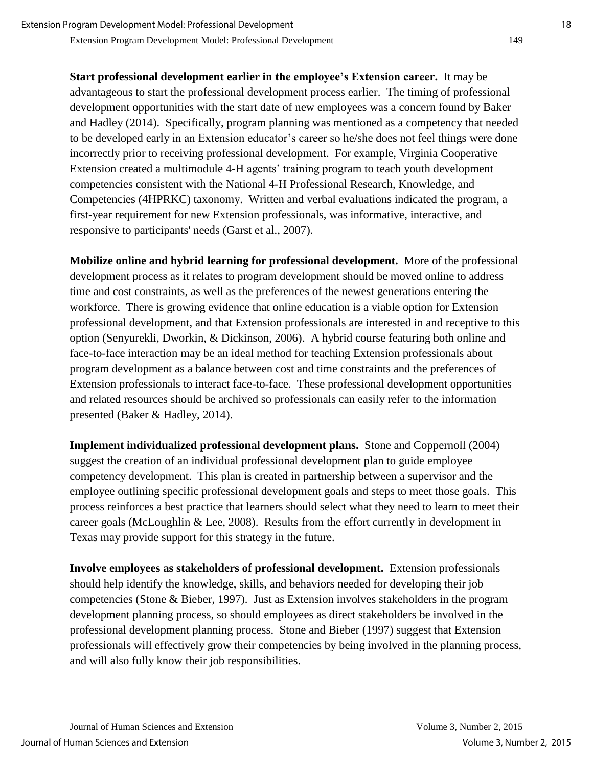**Start professional development earlier in the employee's Extension career.** It may be advantageous to start the professional development process earlier. The timing of professional development opportunities with the start date of new employees was a concern found by Baker and Hadley (2014). Specifically, program planning was mentioned as a competency that needed to be developed early in an Extension educator's career so he/she does not feel things were done incorrectly prior to receiving professional development. For example, Virginia Cooperative Extension created a multimodule 4-H agents' training program to teach youth development competencies consistent with the National 4-H Professional Research, Knowledge, and Competencies (4HPRKC) taxonomy. Written and verbal evaluations indicated the program, a first-year requirement for new Extension professionals, was informative, interactive, and responsive to participants' needs (Garst et al., 2007).

**Mobilize online and hybrid learning for professional development.** More of the professional development process as it relates to program development should be moved online to address time and cost constraints, as well as the preferences of the newest generations entering the workforce. There is growing evidence that online education is a viable option for Extension professional development, and that Extension professionals are interested in and receptive to this option (Senyurekli, Dworkin, & Dickinson, 2006). A hybrid course featuring both online and face-to-face interaction may be an ideal method for teaching Extension professionals about program development as a balance between cost and time constraints and the preferences of Extension professionals to interact face-to-face. These professional development opportunities and related resources should be archived so professionals can easily refer to the information presented (Baker & Hadley, 2014).

**Implement individualized professional development plans.** Stone and Coppernoll (2004) suggest the creation of an individual professional development plan to guide employee competency development. This plan is created in partnership between a supervisor and the employee outlining specific professional development goals and steps to meet those goals. This process reinforces a best practice that learners should select what they need to learn to meet their career goals (McLoughlin & Lee, 2008). Results from the effort currently in development in Texas may provide support for this strategy in the future.

**Involve employees as stakeholders of professional development.** Extension professionals should help identify the knowledge, skills, and behaviors needed for developing their job competencies (Stone & Bieber, 1997). Just as Extension involves stakeholders in the program development planning process, so should employees as direct stakeholders be involved in the professional development planning process. Stone and Bieber (1997) suggest that Extension professionals will effectively grow their competencies by being involved in the planning process, and will also fully know their job responsibilities.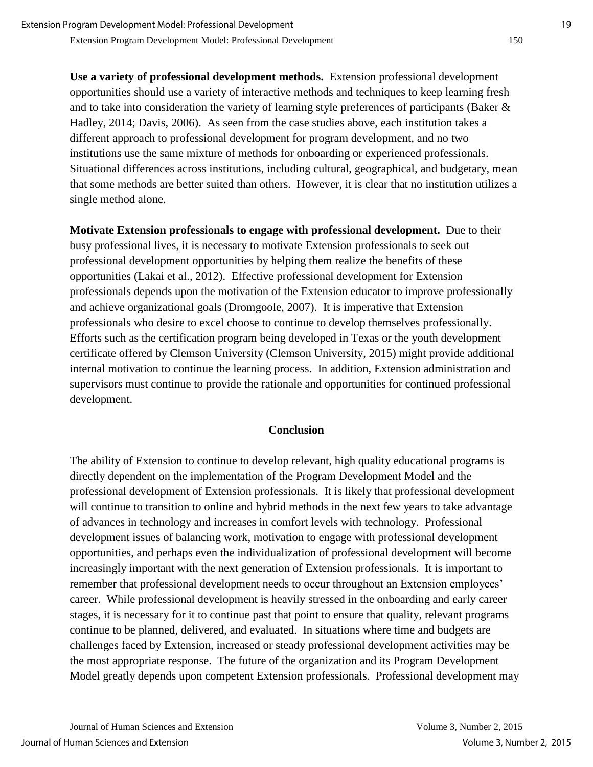**Use a variety of professional development methods.** Extension professional development opportunities should use a variety of interactive methods and techniques to keep learning fresh and to take into consideration the variety of learning style preferences of participants (Baker & Hadley, 2014; Davis, 2006). As seen from the case studies above, each institution takes a different approach to professional development for program development, and no two institutions use the same mixture of methods for onboarding or experienced professionals. Situational differences across institutions, including cultural, geographical, and budgetary, mean that some methods are better suited than others. However, it is clear that no institution utilizes a single method alone.

**Motivate Extension professionals to engage with professional development.** Due to their busy professional lives, it is necessary to motivate Extension professionals to seek out professional development opportunities by helping them realize the benefits of these opportunities (Lakai et al., 2012). Effective professional development for Extension professionals depends upon the motivation of the Extension educator to improve professionally and achieve organizational goals (Dromgoole, 2007). It is imperative that Extension professionals who desire to excel choose to continue to develop themselves professionally. Efforts such as the certification program being developed in Texas or the youth development certificate offered by Clemson University (Clemson University, 2015) might provide additional internal motivation to continue the learning process. In addition, Extension administration and supervisors must continue to provide the rationale and opportunities for continued professional development.

#### **Conclusion**

The ability of Extension to continue to develop relevant, high quality educational programs is directly dependent on the implementation of the Program Development Model and the professional development of Extension professionals. It is likely that professional development will continue to transition to online and hybrid methods in the next few years to take advantage of advances in technology and increases in comfort levels with technology. Professional development issues of balancing work, motivation to engage with professional development opportunities, and perhaps even the individualization of professional development will become increasingly important with the next generation of Extension professionals. It is important to remember that professional development needs to occur throughout an Extension employees' career. While professional development is heavily stressed in the onboarding and early career stages, it is necessary for it to continue past that point to ensure that quality, relevant programs continue to be planned, delivered, and evaluated. In situations where time and budgets are challenges faced by Extension, increased or steady professional development activities may be the most appropriate response. The future of the organization and its Program Development Model greatly depends upon competent Extension professionals. Professional development may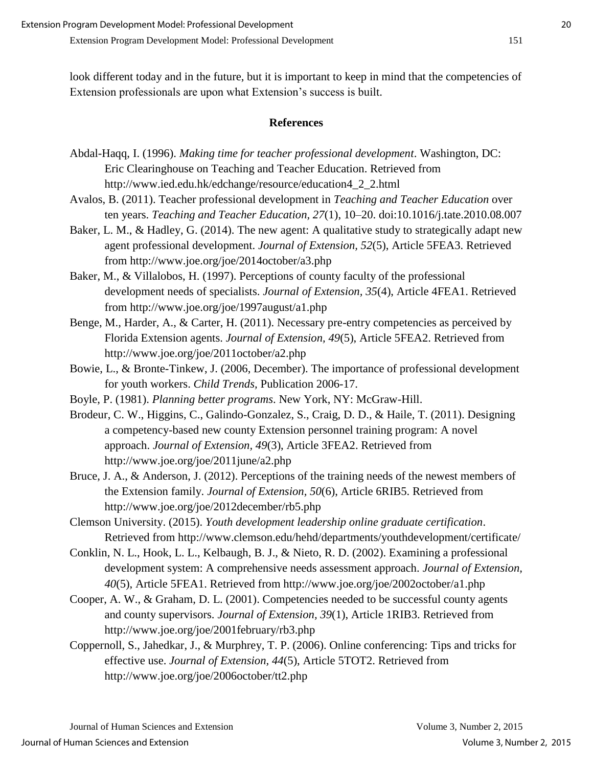look different today and in the future, but it is important to keep in mind that the competencies of Extension professionals are upon what Extension's success is built.

#### **References**

- Abdal-Haqq, I. (1996). *Making time for teacher professional development*. Washington, DC: Eric Clearinghouse on Teaching and Teacher Education. Retrieved from http://www.ied.edu.hk/edchange/resource/education4\_2\_2.html
- Avalos, B. (2011). Teacher professional development in *Teaching and Teacher Education* over ten years. *Teaching and Teacher Education, 27*(1), 10–20. doi:10.1016/j.tate.2010.08.007
- Baker, L. M., & Hadley, G. (2014). The new agent: A qualitative study to strategically adapt new agent professional development. *Journal of Extension, 52*(5), Article 5FEA3. Retrieved from http://www.joe.org/joe/2014october/a3.php
- Baker, M., & Villalobos, H. (1997). Perceptions of county faculty of the professional development needs of specialists. *Journal of Extension, 35*(4), Article 4FEA1. Retrieved from http://www.joe.org/joe/1997august/a1.php
- Benge, M., Harder, A., & Carter, H. (2011). Necessary pre-entry competencies as perceived by Florida Extension agents. *Journal of Extension, 49*(5), Article 5FEA2. Retrieved from http://www.joe.org/joe/2011october/a2.php
- Bowie, L., & Bronte-Tinkew, J. (2006, December). The importance of professional development for youth workers. *Child Trends,* Publication 2006-17.
- Boyle, P. (1981). *Planning better programs*. New York, NY: McGraw-Hill.
- Brodeur, C. W., Higgins, C., Galindo-Gonzalez, S., Craig, D. D., & Haile, T. (2011). Designing a competency-based new county Extension personnel training program: A novel approach. *Journal of Extension, 49*(3), Article 3FEA2. Retrieved from http://www.joe.org/joe/2011june/a2.php
- Bruce, J. A., & Anderson, J. (2012). Perceptions of the training needs of the newest members of the Extension family. *Journal of Extension, 50*(6), Article 6RIB5. Retrieved from http://www.joe.org/joe/2012december/rb5.php
- Clemson University. (2015). *Youth development leadership online graduate certification*. Retrieved from http://www.clemson.edu/hehd/departments/youthdevelopment/certificate/
- Conklin, N. L., Hook, L. L., Kelbaugh, B. J., & Nieto, R. D. (2002). Examining a professional development system: A comprehensive needs assessment approach. *Journal of Extension, 40*(5), Article 5FEA1. Retrieved from http://www.joe.org/joe/2002october/a1.php
- Cooper, A. W., & Graham, D. L. (2001). Competencies needed to be successful county agents and county supervisors. *Journal of Extension, 39*(1), Article 1RIB3. Retrieved from http://www.joe.org/joe/2001february/rb3.php
- Coppernoll, S., Jahedkar, J., & Murphrey, T. P. (2006). Online conferencing: Tips and tricks for effective use. *Journal of Extension, 44*(5), Article 5TOT2. Retrieved from http://www.joe.org/joe/2006october/tt2.php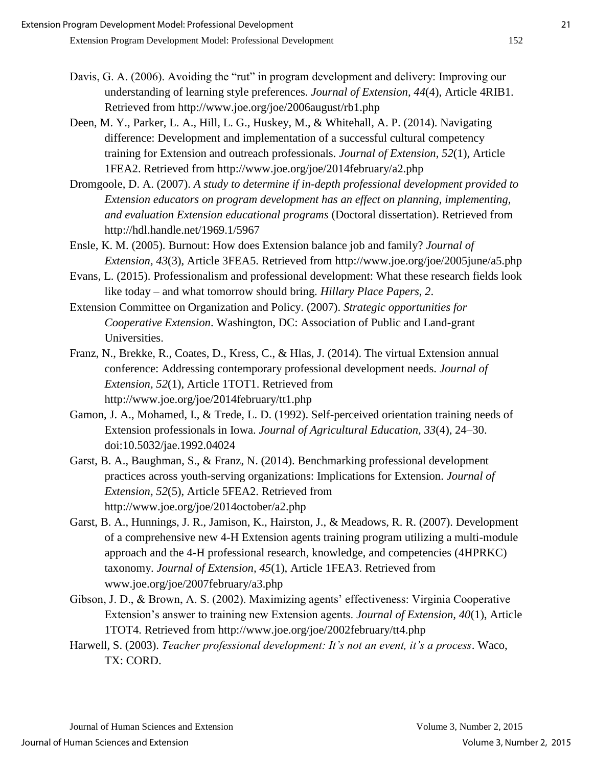- Davis, G. A. (2006). Avoiding the "rut" in program development and delivery: Improving our understanding of learning style preferences. *Journal of Extension, 44*(4), Article 4RIB1. Retrieved from http://www.joe.org/joe/2006august/rb1.php
- Deen, M. Y., Parker, L. A., Hill, L. G., Huskey, M., & Whitehall, A. P. (2014). Navigating difference: Development and implementation of a successful cultural competency training for Extension and outreach professionals. *Journal of Extension, 52*(1), Article 1FEA2. Retrieved from http://www.joe.org/joe/2014february/a2.php
- Dromgoole, D. A. (2007). *A study to determine if in-depth professional development provided to Extension educators on program development has an effect on planning, implementing, and evaluation Extension educational programs* (Doctoral dissertation). Retrieved from http://hdl.handle.net/1969.1/5967
- Ensle, K. M. (2005). Burnout: How does Extension balance job and family? *Journal of Extension, 43*(3), Article 3FEA5. Retrieved from http://www.joe.org/joe/2005june/a5.php
- Evans, L. (2015). Professionalism and professional development: What these research fields look like today – and what tomorrow should bring. *Hillary Place Papers, 2*.
- Extension Committee on Organization and Policy. (2007). *Strategic opportunities for Cooperative Extension*. Washington, DC: Association of Public and Land-grant Universities.
- Franz, N., Brekke, R., Coates, D., Kress, C., & Hlas, J. (2014). The virtual Extension annual conference: Addressing contemporary professional development needs. *Journal of Extension, 52*(1), Article 1TOT1. Retrieved from http://www.joe.org/joe/2014february/tt1.php
- Gamon, J. A., Mohamed, I., & Trede, L. D. (1992). Self-perceived orientation training needs of Extension professionals in Iowa. *Journal of Agricultural Education, 33*(4), 24–30. doi:10.5032/jae.1992.04024
- Garst, B. A., Baughman, S., & Franz, N. (2014). Benchmarking professional development practices across youth-serving organizations: Implications for Extension. *Journal of Extension, 52*(5), Article 5FEA2. Retrieved from http://www.joe.org/joe/2014october/a2.php
- Garst, B. A., Hunnings, J. R., Jamison, K., Hairston, J., & Meadows, R. R. (2007). Development of a comprehensive new 4-H Extension agents training program utilizing a multi-module approach and the 4-H professional research, knowledge, and competencies (4HPRKC) taxonomy. *Journal of Extension, 45*(1), Article 1FEA3. Retrieved from www.joe.org/joe/2007february/a3.php
- Gibson, J. D., & Brown, A. S. (2002). Maximizing agents' effectiveness: Virginia Cooperative Extension's answer to training new Extension agents. *Journal of Extension, 40*(1), Article 1TOT4. Retrieved from http://www.joe.org/joe/2002february/tt4.php
- Harwell, S. (2003). *Teacher professional development: It's not an event, it's a process*. Waco, TX: CORD.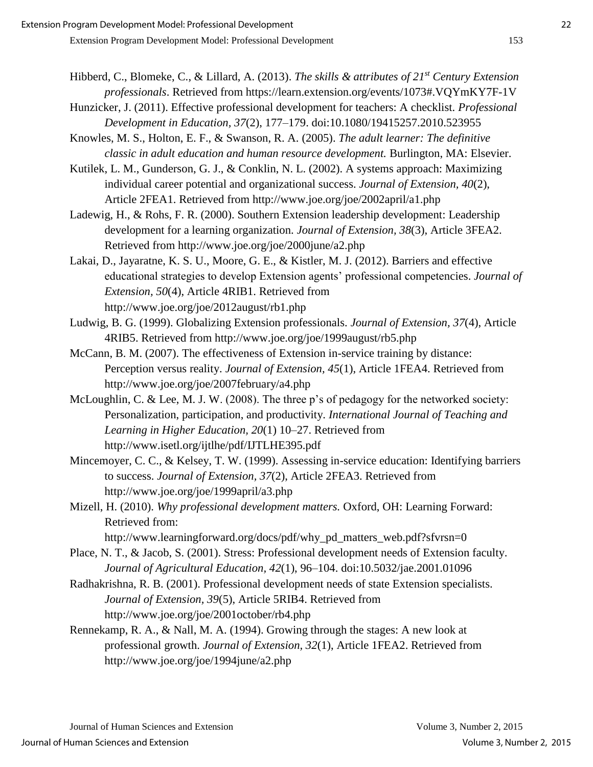- Hibberd, C., Blomeke, C., & Lillard, A. (2013). *The skills & attributes of 21st Century Extension professionals*. Retrieved from https://learn.extension.org/events/1073#.VQYmKY7F-1V
- Hunzicker, J. (2011). Effective professional development for teachers: A checklist. *Professional Development in Education, 37*(2), 177–179. doi:10.1080/19415257.2010.523955
- Knowles, M. S., Holton, E. F., & Swanson, R. A. (2005). *The adult learner: The definitive classic in adult education and human resource development.* Burlington, MA: Elsevier.
- Kutilek, L. M., Gunderson, G. J., & Conklin, N. L. (2002). A systems approach: Maximizing individual career potential and organizational success. *Journal of Extension, 40*(2), Article 2FEA1. Retrieved from http://www.joe.org/joe/2002april/a1.php
- Ladewig, H., & Rohs, F. R. (2000). Southern Extension leadership development: Leadership development for a learning organization. *Journal of Extension, 38*(3), Article 3FEA2. Retrieved from http://www.joe.org/joe/2000june/a2.php
- Lakai, D., Jayaratne, K. S. U., Moore, G. E., & Kistler, M. J. (2012). Barriers and effective educational strategies to develop Extension agents' professional competencies. *Journal of Extension, 50*(4), Article 4RIB1. Retrieved from http://www.joe.org/joe/2012august/rb1.php
- Ludwig, B. G. (1999). Globalizing Extension professionals. *Journal of Extension, 37*(4), Article 4RIB5. Retrieved from http://www.joe.org/joe/1999august/rb5.php
- McCann, B. M. (2007). The effectiveness of Extension in-service training by distance: Perception versus reality. *Journal of Extension, 45*(1), Article 1FEA4. Retrieved from http://www.joe.org/joe/2007february/a4.php
- McLoughlin, C. & Lee, M. J. W. (2008). The three p's of pedagogy for the networked society: Personalization, participation, and productivity. *International Journal of Teaching and Learning in Higher Education, 20*(1) 10–27. Retrieved from http://www.isetl.org/ijtlhe/pdf/IJTLHE395.pdf
- Mincemoyer, C. C., & Kelsey, T. W. (1999). Assessing in-service education: Identifying barriers to success. *Journal of Extension, 37*(2), Article 2FEA3. Retrieved from http://www.joe.org/joe/1999april/a3.php
- Mizell, H. (2010). *Why professional development matters.* Oxford, OH: Learning Forward: Retrieved from:
	- http://www.learningforward.org/docs/pdf/why\_pd\_matters\_web.pdf?sfvrsn=0
- Place, N. T., & Jacob, S. (2001). Stress: Professional development needs of Extension faculty. *Journal of Agricultural Education, 42*(1), 96–104. doi:10.5032/jae.2001.01096
- Radhakrishna, R. B. (2001). Professional development needs of state Extension specialists. *Journal of Extension, 39*(5), Article 5RIB4. Retrieved from http://www.joe.org/joe/2001october/rb4.php
- Rennekamp, R. A., & Nall, M. A. (1994). Growing through the stages: A new look at professional growth. *Journal of Extension, 32*(1), Article 1FEA2. Retrieved from http://www.joe.org/joe/1994june/a2.php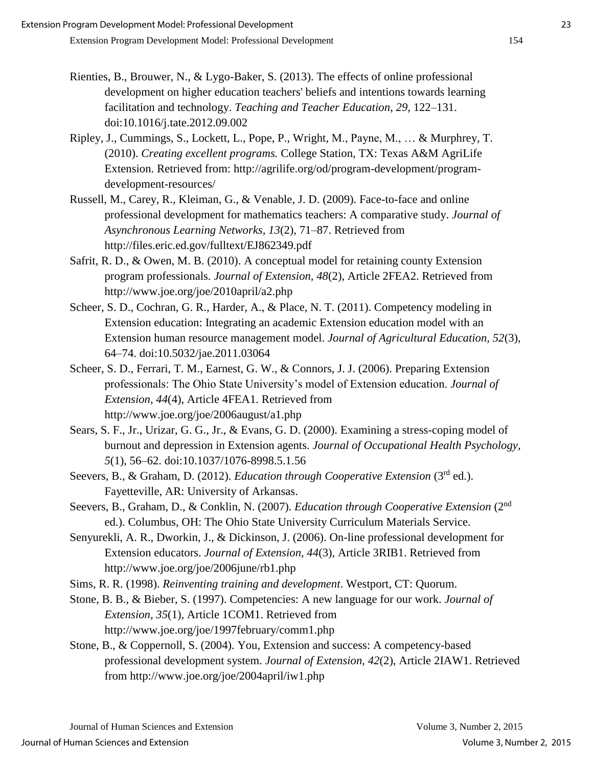- Rienties, B., Brouwer, N., & Lygo-Baker, S. (2013). The effects of online professional development on higher education teachers' beliefs and intentions towards learning facilitation and technology. *Teaching and Teacher Education*, *29,* 122–131. doi:10.1016/j.tate.2012.09.002
- Ripley, J., Cummings, S., Lockett, L., Pope, P., Wright, M., Payne, M., … & Murphrey, T. (2010). *Creating excellent programs.* College Station, TX: Texas A&M AgriLife Extension. Retrieved from: http://agrilife.org/od/program-development/programdevelopment-resources/
- Russell, M., Carey, R., Kleiman, G., & Venable, J. D. (2009). Face-to-face and online professional development for mathematics teachers: A comparative study. *Journal of Asynchronous Learning Networks, 13*(2), 71–87. Retrieved from http://files.eric.ed.gov/fulltext/EJ862349.pdf
- Safrit, R. D., & Owen, M. B. (2010). A conceptual model for retaining county Extension program professionals. *Journal of Extension, 48*(2), Article 2FEA2. Retrieved from http://www.joe.org/joe/2010april/a2.php
- Scheer, S. D., Cochran, G. R., Harder, A., & Place, N. T. (2011). Competency modeling in Extension education: Integrating an academic Extension education model with an Extension human resource management model. *Journal of Agricultural Education, 52*(3), 64–74. doi:10.5032/jae.2011.03064
- Scheer, S. D., Ferrari, T. M., Earnest, G. W., & Connors, J. J. (2006). Preparing Extension professionals: The Ohio State University's model of Extension education. *Journal of Extension, 44*(4), Article 4FEA1. Retrieved from http://www.joe.org/joe/2006august/a1.php
- Sears, S. F., Jr., Urizar, G. G., Jr., & Evans, G. D. (2000). Examining a stress-coping model of burnout and depression in Extension agents. *Journal of Occupational Health Psychology, 5*(1), 56–62. doi:10.1037/1076-8998.5.1.56
- Seevers, B., & Graham, D. (2012). *Education through Cooperative Extension* (3<sup>rd</sup> ed.). Fayetteville, AR: University of Arkansas.
- Seevers, B., Graham, D., & Conklin, N. (2007). *Education through Cooperative Extension* (2nd ed.). Columbus, OH: The Ohio State University Curriculum Materials Service.
- Senyurekli, A. R., Dworkin, J., & Dickinson, J. (2006). On-line professional development for Extension educators. *Journal of Extension, 44*(3), Article 3RIB1. Retrieved from http://www.joe.org/joe/2006june/rb1.php
- Sims, R. R. (1998). *Reinventing training and development*. Westport, CT: Quorum.
- Stone, B. B., & Bieber, S. (1997). Competencies: A new language for our work. *Journal of Extension, 35*(1), Article 1COM1. Retrieved from http://www.joe.org/joe/1997february/comm1.php
- Stone, B., & Coppernoll, S. (2004). You, Extension and success: A competency-based professional development system. *Journal of Extension, 42*(2), Article 2IAW1. Retrieved from http://www.joe.org/joe/2004april/iw1.php